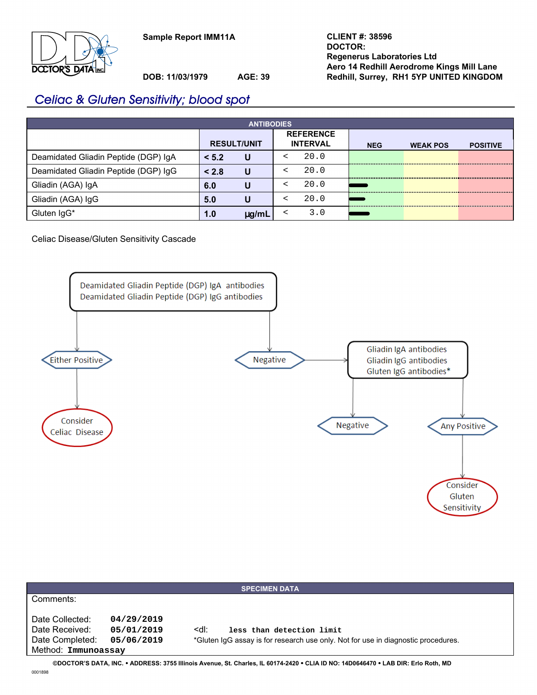**Sample Report IMM11A**



**DOB: 11/03/1979 AGE: 39**

# Celiac & Gluten Sensitivity; blood spot

| <b>ANTIBODIES</b>                    |                    |            |  |                                     |            |                 |                 |  |  |
|--------------------------------------|--------------------|------------|--|-------------------------------------|------------|-----------------|-----------------|--|--|
|                                      | <b>RESULT/UNIT</b> |            |  | <b>REFERENCE</b><br><b>INTERVAL</b> | <b>NEG</b> | <b>WEAK POS</b> | <b>POSITIVE</b> |  |  |
| Deamidated Gliadin Peptide (DGP) IgA | < 5.2              | U          |  | 20.0                                |            |                 |                 |  |  |
| Deamidated Gliadin Peptide (DGP) IgG | < 2.8              | U          |  | 20.0                                |            |                 |                 |  |  |
| Gliadin (AGA) IgA                    | 6.0                | U          |  | 20.0                                |            |                 |                 |  |  |
| Gliadin (AGA) IgG                    | 5.0                | U          |  | 20.0                                |            |                 |                 |  |  |
| Gluten IgG*                          | 1.0                | $\mu$ g/mL |  | 3.0                                 |            |                 |                 |  |  |

## Celiac Disease/Gluten Sensitivity Cascade



| <b>SPECIMEN DATA</b>                                                                                                          |            |                                                                                   |  |  |  |
|-------------------------------------------------------------------------------------------------------------------------------|------------|-----------------------------------------------------------------------------------|--|--|--|
| Comments:                                                                                                                     |            |                                                                                   |  |  |  |
|                                                                                                                               |            |                                                                                   |  |  |  |
| Date Collected:                                                                                                               | 04/29/2019 |                                                                                   |  |  |  |
| Date Received:                                                                                                                | 05/01/2019 | ≺dl:<br>less than detection limit                                                 |  |  |  |
| Date Completed:                                                                                                               | 05/06/2019 | *Gluten IqG assay is for research use only. Not for use in diagnostic procedures. |  |  |  |
| Method: Immunoassay                                                                                                           |            |                                                                                   |  |  |  |
| CROCTORIO BATA INO. ADDRESS, 27EE Illiania August. SA Charles, IL CO474 2420 A CLIA ID NO. 44D0040470 ALAD DID, Erik Dath, MD |            |                                                                                   |  |  |  |

**©DOCTOR'S DATA, INC.** y **ADDRESS: 3755 Illinois Avenue, St. Charles, IL 60174-2420** y **CLIA ID NO: 14D0646470** y **LAB DIR: Erlo Roth, MD** 0001898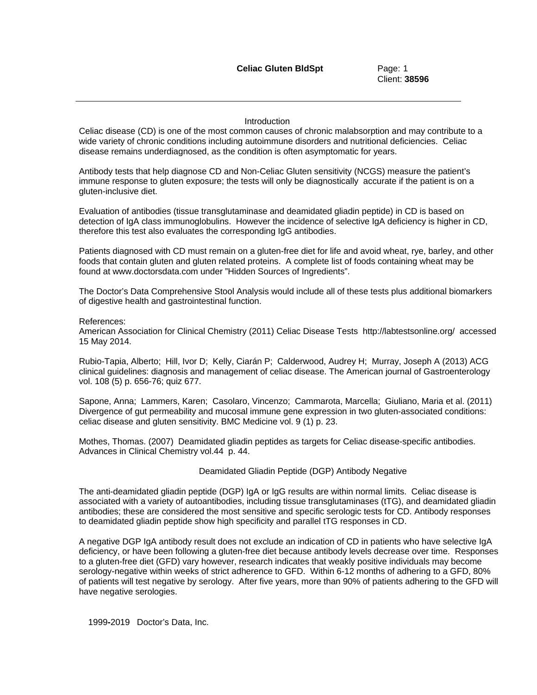Client: **38596**

## **Introduction**

Celiac disease (CD) is one of the most common causes of chronic malabsorption and may contribute to a wide variety of chronic conditions including autoimmune disorders and nutritional deficiencies. Celiac disease remains underdiagnosed, as the condition is often asymptomatic for years.

Antibody tests that help diagnose CD and Non-Celiac Gluten sensitivity (NCGS) measure the patient's immune response to gluten exposure; the tests will only be diagnostically accurate if the patient is on a gluten-inclusive diet.

Evaluation of antibodies (tissue transglutaminase and deamidated gliadin peptide) in CD is based on detection of IgA class immunoglobulins. However the incidence of selective IgA deficiency is higher in CD, therefore this test also evaluates the corresponding IgG antibodies.

Patients diagnosed with CD must remain on a gluten-free diet for life and avoid wheat, rye, barley, and other foods that contain gluten and gluten related proteins. A complete list of foods containing wheat may be found at www.doctorsdata.com under "Hidden Sources of Ingredients".

The Doctor's Data Comprehensive Stool Analysis would include all of these tests plus additional biomarkers of digestive health and gastrointestinal function.

## References:

American Association for Clinical Chemistry (2011) Celiac Disease Tests http://labtestsonline.org/ accessed 15 May 2014.

Rubio-Tapia, Alberto; Hill, Ivor D; Kelly, Ciarán P; Calderwood, Audrey H; Murray, Joseph A (2013) ACG clinical guidelines: diagnosis and management of celiac disease. The American journal of Gastroenterology vol. 108 (5) p. 656-76; quiz 677.

Sapone, Anna; Lammers, Karen; Casolaro, Vincenzo; Cammarota, Marcella; Giuliano, Maria et al. (2011) Divergence of gut permeability and mucosal immune gene expression in two gluten-associated conditions: celiac disease and gluten sensitivity. BMC Medicine vol. 9 (1) p. 23.

Mothes, Thomas. (2007) Deamidated gliadin peptides as targets for Celiac disease-specific antibodies. Advances in Clinical Chemistry vol.44 p. 44.

## Deamidated Gliadin Peptide (DGP) Antibody Negative

The anti-deamidated gliadin peptide (DGP) IgA or IgG results are within normal limits. Celiac disease is associated with a variety of autoantibodies, including tissue transglutaminases (tTG), and deamidated gliadin antibodies; these are considered the most sensitive and specific serologic tests for CD. Antibody responses to deamidated gliadin peptide show high specificity and parallel tTG responses in CD.

A negative DGP IgA antibody result does not exclude an indication of CD in patients who have selective IgA deficiency, or have been following a gluten-free diet because antibody levels decrease over time. Responses to a gluten-free diet (GFD) vary however, research indicates that weakly positive individuals may become serology-negative within weeks of strict adherence to GFD. Within 6-12 months of adhering to a GFD, 80% of patients will test negative by serology. After five years, more than 90% of patients adhering to the GFD will have negative serologies.

1999**-**2019 Doctor's Data, Inc.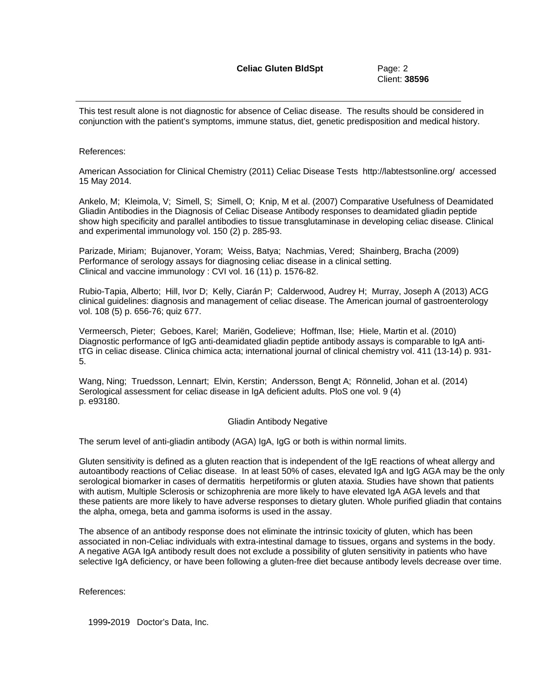This test result alone is not diagnostic for absence of Celiac disease. The results should be considered in conjunction with the patient's symptoms, immune status, diet, genetic predisposition and medical history.

## References:

American Association for Clinical Chemistry (2011) Celiac Disease Tests http://labtestsonline.org/ accessed 15 May 2014.

Ankelo, M; Kleimola, V; Simell, S; Simell, O; Knip, M et al. (2007) Comparative Usefulness of Deamidated Gliadin Antibodies in the Diagnosis of Celiac Disease Antibody responses to deamidated gliadin peptide show high specificity and parallel antibodies to tissue transglutaminase in developing celiac disease. Clinical and experimental immunology vol. 150 (2) p. 285-93.

Parizade, Miriam; Bujanover, Yoram; Weiss, Batya; Nachmias, Vered; Shainberg, Bracha (2009) Performance of serology assays for diagnosing celiac disease in a clinical setting. Clinical and vaccine immunology : CVI vol. 16 (11) p. 1576-82.

Rubio-Tapia, Alberto; Hill, Ivor D; Kelly, Ciarán P; Calderwood, Audrey H; Murray, Joseph A (2013) ACG clinical guidelines: diagnosis and management of celiac disease. The American journal of gastroenterology vol. 108 (5) p. 656-76; quiz 677.

Vermeersch, Pieter; Geboes, Karel; Mariën, Godelieve; Hoffman, Ilse; Hiele, Martin et al. (2010) Diagnostic performance of IgG anti-deamidated gliadin peptide antibody assays is comparable to IgA antitTG in celiac disease. Clinica chimica acta; international journal of clinical chemistry vol. 411 (13-14) p. 931- 5.

Wang, Ning; Truedsson, Lennart; Elvin, Kerstin; Andersson, Bengt A; Rönnelid, Johan et al. (2014) Serological assessment for celiac disease in IgA deficient adults. PloS one vol. 9 (4) p. e93180.

## Gliadin Antibody Negative

The serum level of anti-gliadin antibody (AGA) IgA, IgG or both is within normal limits.

Gluten sensitivity is defined as a gluten reaction that is independent of the IgE reactions of wheat allergy and autoantibody reactions of Celiac disease. In at least 50% of cases, elevated IgA and IgG AGA may be the only serological biomarker in cases of dermatitis herpetiformis or gluten ataxia. Studies have shown that patients with autism, Multiple Sclerosis or schizophrenia are more likely to have elevated IgA AGA levels and that these patients are more likely to have adverse responses to dietary gluten. Whole purified gliadin that contains the alpha, omega, beta and gamma isoforms is used in the assay.

The absence of an antibody response does not eliminate the intrinsic toxicity of gluten, which has been associated in non-Celiac individuals with extra-intestinal damage to tissues, organs and systems in the body. A negative AGA IgA antibody result does not exclude a possibility of gluten sensitivity in patients who have selective IgA deficiency, or have been following a gluten-free diet because antibody levels decrease over time.

References:

1999**-**2019 Doctor's Data, Inc.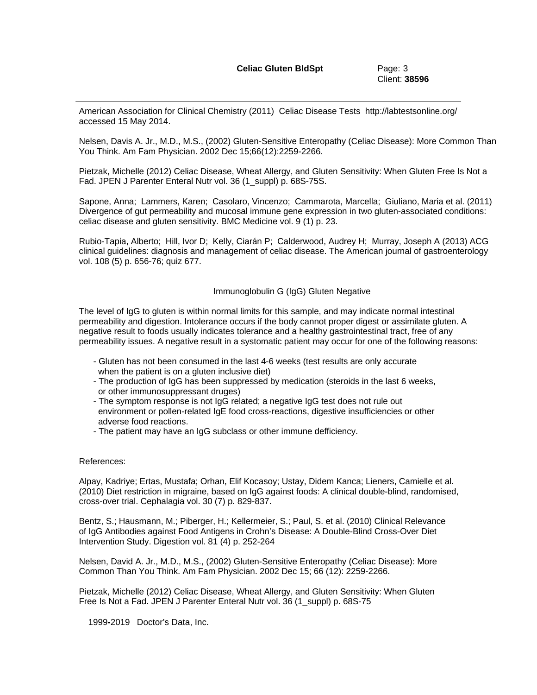American Association for Clinical Chemistry (2011) Celiac Disease Tests http://labtestsonline.org/ accessed 15 May 2014.

Nelsen, Davis A. Jr., M.D., M.S., (2002) Gluten-Sensitive Enteropathy (Celiac Disease): More Common Than You Think. Am Fam Physician. 2002 Dec 15;66(12):2259-2266.

Pietzak, Michelle (2012) Celiac Disease, Wheat Allergy, and Gluten Sensitivity: When Gluten Free Is Not a Fad. JPEN J Parenter Enteral Nutr vol. 36 (1 suppl) p. 68S-75S.

Sapone, Anna; Lammers, Karen; Casolaro, Vincenzo; Cammarota, Marcella; Giuliano, Maria et al. (2011) Divergence of gut permeability and mucosal immune gene expression in two gluten-associated conditions: celiac disease and gluten sensitivity. BMC Medicine vol. 9 (1) p. 23.

Rubio-Tapia, Alberto; Hill, Ivor D; Kelly, Ciarán P; Calderwood, Audrey H; Murray, Joseph A (2013) ACG clinical guidelines: diagnosis and management of celiac disease. The American journal of gastroenterology vol. 108 (5) p. 656-76; quiz 677.

Immunoglobulin G (IgG) Gluten Negative

The level of IgG to gluten is within normal limits for this sample, and may indicate normal intestinal permeability and digestion. Intolerance occurs if the body cannot proper digest or assimilate gluten. A negative result to foods usually indicates tolerance and a healthy gastrointestinal tract, free of any permeability issues. A negative result in a systomatic patient may occur for one of the following reasons:

- Gluten has not been consumed in the last 4-6 weeks (test results are only accurate when the patient is on a gluten inclusive diet)
- The production of IgG has been suppressed by medication (steroids in the last 6 weeks, or other immunosuppressant druges)
- The symptom response is not IgG related; a negative IgG test does not rule out environment or pollen-related IgE food cross-reactions, digestive insufficiencies or other adverse food reactions.
- The patient may have an IgG subclass or other immune defficiency.

## References:

Alpay, Kadriye; Ertas, Mustafa; Orhan, Elif Kocasoy; Ustay, Didem Kanca; Lieners, Camielle et al. (2010) Diet restriction in migraine, based on IgG against foods: A clinical double-blind, randomised, cross-over trial. Cephalagia vol. 30 (7) p. 829-837.

Bentz, S.; Hausmann, M.; Piberger, H.; Kellermeier, S.; Paul, S. et al. (2010) Clinical Relevance of IgG Antibodies against Food Antigens in Crohn's Disease: A Double-Blind Cross-Over Diet Intervention Study. Digestion vol. 81 (4) p. 252-264

Nelsen, David A. Jr., M.D., M.S., (2002) Gluten-Sensitive Enteropathy (Celiac Disease): More Common Than You Think. Am Fam Physician. 2002 Dec 15; 66 (12): 2259-2266.

Pietzak, Michelle (2012) Celiac Disease, Wheat Allergy, and Gluten Sensitivity: When Gluten Free Is Not a Fad. JPEN J Parenter Enteral Nutr vol. 36 (1 suppl) p. 68S-75

1999**-**2019 Doctor's Data, Inc.